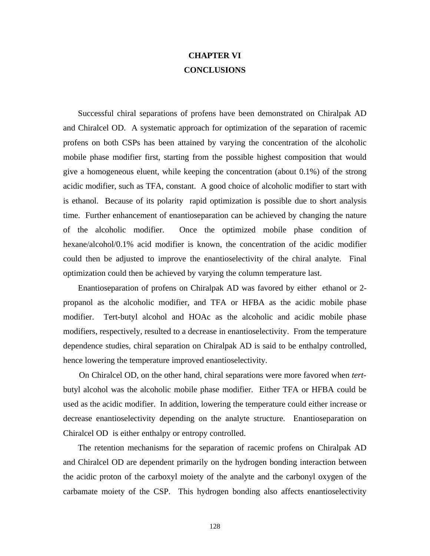## **CHAPTER VI CONCLUSIONS**

 Successful chiral separations of profens have been demonstrated on Chiralpak AD and Chiralcel OD. A systematic approach for optimization of the separation of racemic profens on both CSPs has been attained by varying the concentration of the alcoholic mobile phase modifier first, starting from the possible highest composition that would give a homogeneous eluent, while keeping the concentration (about 0.1%) of the strong acidic modifier, such as TFA, constant. A good choice of alcoholic modifier to start with is ethanol. Because of its polarity rapid optimization is possible due to short analysis time. Further enhancement of enantioseparation can be achieved by changing the nature of the alcoholic modifier. Once the optimized mobile phase condition of hexane/alcohol/0.1% acid modifier is known, the concentration of the acidic modifier could then be adjusted to improve the enantioselectivity of the chiral analyte. Final optimization could then be achieved by varying the column temperature last.

 Enantioseparation of profens on Chiralpak AD was favored by either ethanol or 2 propanol as the alcoholic modifier, and TFA or HFBA as the acidic mobile phase modifier. Tert-butyl alcohol and HOAc as the alcoholic and acidic mobile phase modifiers, respectively, resulted to a decrease in enantioselectivity. From the temperature dependence studies, chiral separation on Chiralpak AD is said to be enthalpy controlled, hence lowering the temperature improved enantioselectivity.

 On Chiralcel OD, on the other hand, chiral separations were more favored when *tert*butyl alcohol was the alcoholic mobile phase modifier. Either TFA or HFBA could be used as the acidic modifier. In addition, lowering the temperature could either increase or decrease enantioselectivity depending on the analyte structure. Enantioseparation on Chiralcel OD is either enthalpy or entropy controlled.

 The retention mechanisms for the separation of racemic profens on Chiralpak AD and Chiralcel OD are dependent primarily on the hydrogen bonding interaction between the acidic proton of the carboxyl moiety of the analyte and the carbonyl oxygen of the carbamate moiety of the CSP. This hydrogen bonding also affects enantioselectivity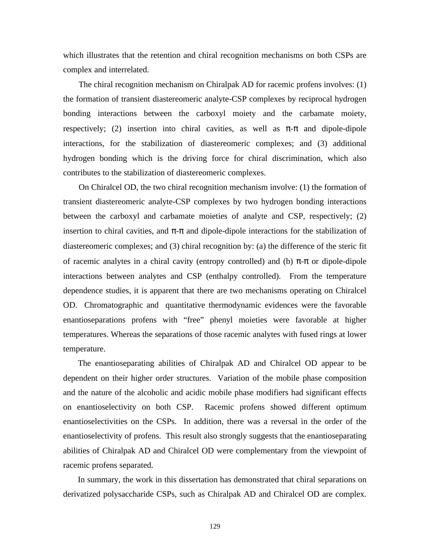which illustrates that the retention and chiral recognition mechanisms on both CSPs are complex and interrelated.

 The chiral recognition mechanism on Chiralpak AD for racemic profens involves: (1) the formation of transient diastereomeric analyte-CSP complexes by reciprocal hydrogen bonding interactions between the carboxyl moiety and the carbamate moiety, respectively; (2) insertion into chiral cavities, as well as  $\pi$ - $\pi$  and dipole-dipole interactions, for the stabilization of diastereomeric complexes; and (3) additional hydrogen bonding which is the driving force for chiral discrimination, which also contributes to the stabilization of diastereomeric complexes.

 On Chiralcel OD, the two chiral recognition mechanism involve: (1) the formation of transient diastereomeric analyte-CSP complexes by two hydrogen bonding interactions between the carboxyl and carbamate moieties of analyte and CSP, respectively; (2) insertion to chiral cavities, and  $\pi$ - $\pi$  and dipole-dipole interactions for the stabilization of diastereomeric complexes; and (3) chiral recognition by: (a) the difference of the steric fit of racemic analytes in a chiral cavity (entropy controlled) and (b) π-π or dipole-dipole interactions between analytes and CSP (enthalpy controlled). From the temperature dependence studies, it is apparent that there are two mechanisms operating on Chiralcel OD. Chromatographic and quantitative thermodynamic evidences were the favorable enantioseparations profens with "free" phenyl moieties were favorable at higher temperatures. Whereas the separations of those racemic analytes with fused rings at lower temperature.

 The enantioseparating abilities of Chiralpak AD and Chiralcel OD appear to be dependent on their higher order structures. Variation of the mobile phase composition and the nature of the alcoholic and acidic mobile phase modifiers had significant effects on enantioselectivity on both CSP. Racemic profens showed different optimum enantioselectivities on the CSPs. In addition, there was a reversal in the order of the enantioselectivity of profens. This result also strongly suggests that the enantioseparating abilities of Chiralpak AD and Chiralcel OD were complementary from the viewpoint of racemic profens separated.

 In summary, the work in this dissertation has demonstrated that chiral separations on derivatized polysaccharide CSPs, such as Chiralpak AD and Chiralcel OD are complex.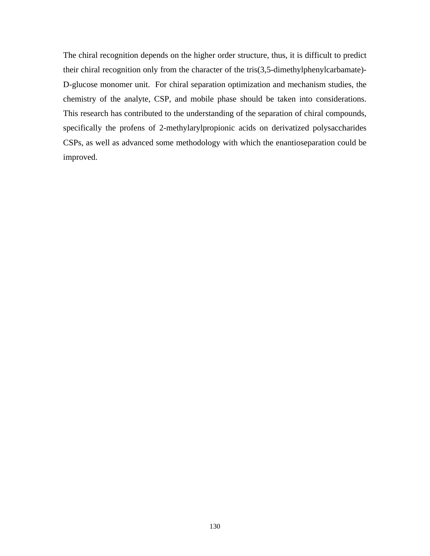The chiral recognition depends on the higher order structure, thus, it is difficult to predict their chiral recognition only from the character of the tris(3,5-dimethylphenylcarbamate)- D-glucose monomer unit. For chiral separation optimization and mechanism studies, the chemistry of the analyte, CSP, and mobile phase should be taken into considerations. This research has contributed to the understanding of the separation of chiral compounds, specifically the profens of 2-methylarylpropionic acids on derivatized polysaccharides CSPs, as well as advanced some methodology with which the enantioseparation could be improved.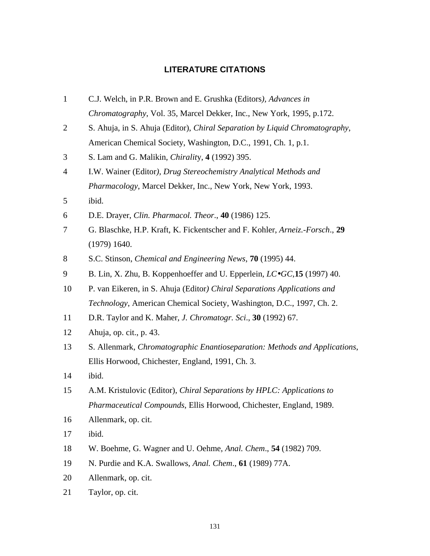## **LITERATURE CITATIONS**

- C.J. Welch, in P.R. Brown and E. Grushka (Editors*), Advances in Chromatography*, Vol. 35, Marcel Dekker, Inc., New York, 1995, p.172.
- S. Ahuja, in S. Ahuja (Editor), *Chiral Separation by Liquid Chromatography*, American Chemical Society, Washington, D.C., 1991, Ch. 1, p.1.
- S. Lam and G. Malikin, *Chiralit*y, **4** (1992) 395.
- I.W. Wainer (Editor*), Drug Stereochemistry Analytical Methods and Pharmacology*, Marcel Dekker, Inc., New York, New York, 1993.
- ibid.

D.E. Drayer, *Clin. Pharmacol. Theor*., **40** (1986) 125.

- G. Blaschke, H.P. Kraft, K. Fickentscher and F. Kohler, *Arneiz.-Forsch*., **29** (1979) 1640.
- S.C. Stinson, *Chemical and Engineering News*, **70** (1995) 44.
- B. Lin, X. Zhu, B. Koppenhoeffer and U. Epperlein, *LC·GC*,**15** (1997) 40.
- P. van Eikeren, in S. Ahuja (Editor*) Chiral Separations Applications and Technology*, American Chemical Society, Washington, D.C., 1997, Ch. 2.
- D.R. Taylor and K. Maher, *J. Chromatogr. Sci*., **30** (1992) 67.
- Ahuja, op. cit., p. 43.
- S. Allenmark, *Chromatographic Enantioseparation: Methods and Applications*, Ellis Horwood, Chichester, England, 1991, Ch. 3.
- ibid.
- A.M. Kristulovic (Editor), *Chiral Separations by HPLC: Applications to Pharmaceutical Compounds*, Ellis Horwood, Chichester, England, 1989.
- Allenmark, op. cit.
- ibid.
- W. Boehme, G. Wagner and U. Oehme, *Anal. Chem*., **54** (1982) 709.
- N. Purdie and K.A. Swallows, *Anal. Chem*., **61** (1989) 77A.
- Allenmark, op. cit.
- Taylor, op. cit.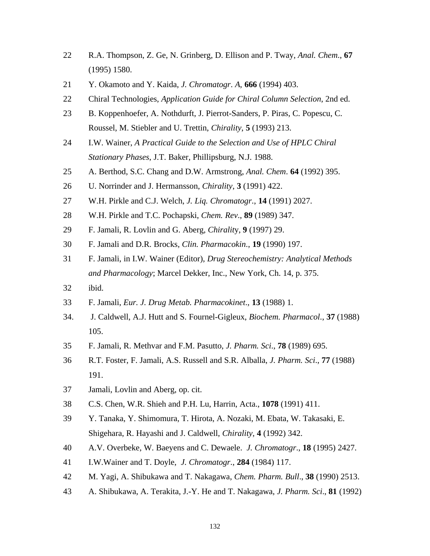- R.A. Thompson, Z. Ge, N. Grinberg, D. Ellison and P. Tway, *Anal. Chem*., **67** (1995) 1580.
- Y. Okamoto and Y. Kaida, *J. Chromatogr*. *A*, **666** (1994) 403.
- Chiral Technologies, *Application Guide for Chiral Column Selection*, 2nd ed.
- B. Koppenhoefer, A. Nothdurft, J. Pierrot-Sanders, P. Piras, C. Popescu, C. Roussel, M. Stiebler and U. Trettin, *Chirality*, **5** (1993) 213.
- I.W. Wainer, *A Practical Guide to the Selection and Use of HPLC Chiral Stationary Phases*, J.T. Baker, Phillipsburg, N.J. 1988.
- A. Berthod, S.C. Chang and D.W. Armstrong, *Anal. Chem*. **64** (1992) 395.
- U. Norrinder and J. Hermansson, *Chirality*, **3** (1991) 422.
- W.H. Pirkle and C.J. Welch, *J. Liq. Chromatogr*., **14** (1991) 2027.
- W.H. Pirkle and T.C. Pochapski, *Chem. Rev*., **89** (1989) 347.
- F. Jamali, R. Lovlin and G. Aberg, *Chiralit*y, **9** (1997) 29.
- F. Jamali and D.R. Brocks, *Clin. Pharmacokin*., **19** (1990) 197.
- F. Jamali, in I.W. Wainer (Editor), *Drug Stereochemistry: Analytical Methods and Pharmacology*; Marcel Dekker, Inc., New York, Ch. 14, p. 375.
- ibid.
- F. Jamali, *Eur. J. Drug Metab. Pharmacokinet*., **13** (1988) 1.
- 34. J. Caldwell, A.J. Hutt and S. Fournel-Gigleux, *Biochem. Pharmacol*., **37** (1988) 105.
- F. Jamali, R. Methvar and F.M. Pasutto, *J. Pharm. Sci*., **78** (1989) 695.
- R.T. Foster, F. Jamali, A.S. Russell and S.R. Alballa, *J. Pharm. Sci*., **77** (1988) 191.
- Jamali, Lovlin and Aberg, op. cit.
- C.S. Chen, W.R. Shieh and P.H. Lu, Harrin, Acta., **1078** (1991) 411.
- Y. Tanaka, Y. Shimomura, T. Hirota, A. Nozaki, M. Ebata, W. Takasaki, E. Shigehara, R. Hayashi and J. Caldwell, *Chirality*, **4** (1992) 342.
- A.V. Overbeke, W. Baeyens and C. Dewaele. *J. Chromatogr*., **18** (1995) 2427.
- I.W.Wainer and T. Doyle, *J. Chromatogr*., **284** (1984) 117.
- M. Yagi, A. Shibukawa and T. Nakagawa, *Chem. Pharm. Bull*., **38** (1990) 2513.
- A. Shibukawa, A. Terakita, J.-Y. He and T. Nakagawa, *J. Pharm. Sci*., **81** (1992)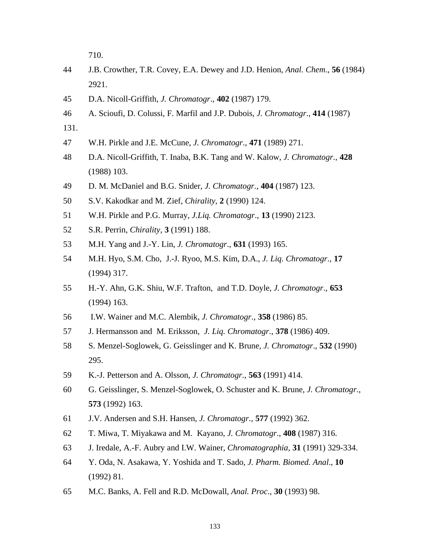710.

- J.B. Crowther, T.R. Covey, E.A. Dewey and J.D. Henion, *Anal. Chem*., **56** (1984) 2921.
- D.A. Nicoll-Griffith, *J. Chromatogr*., **402** (1987) 179.
- A. Scioufi, D. Colussi, F. Marfil and J.P. Dubois, *J. Chromatogr*., **414** (1987)
- 131.
- W.H. Pirkle and J.E. McCune, *J. Chromatogr*., **471** (1989) 271.
- D.A. Nicoll-Griffith, T. Inaba, B.K. Tang and W. Kalow, *J. Chromatogr*., **428** (1988) 103.
- D. M. McDaniel and B.G. Snider, *J. Chromatogr*., **404** (1987) 123.
- S.V. Kakodkar and M. Zief, *Chirality*, **2** (1990) 124.
- W.H. Pirkle and P.G. Murray, *J.Liq. Chromatogr*., **13** (1990) 2123.
- S.R. Perrin, *Chirality*, **3** (1991) 188.
- M.H. Yang and J.-Y. Lin, *J. Chromatogr*., **631** (1993) 165.
- M.H. Hyo, S.M. Cho, J.-J. Ryoo, M.S. Kim, D.A., *J. Liq. Chromatogr*., **17** (1994) 317.
- H.-Y. Ahn, G.K. Shiu, W.F. Trafton, and T.D. Doyle, *J. Chromatogr*., **653** (1994) 163.
- 56 I.W. Wainer and M.C. Alembik, *J. Chromatogr*., **358** (1986) 85.
- J. Hermansson and M. Eriksson, *J. Liq. Chromatogr*., **378** (1986) 409.
- S. Menzel-Soglowek, G. Geisslinger and K. Brune, *J. Chromatogr*., **532** (1990) 295.
- K.-J. Petterson and A. Olsson, *J. Chromatogr*., **563** (1991) 414.
- G. Geisslinger, S. Menzel-Soglowek, O. Schuster and K. Brune, *J. Chromatogr*., (1992) 163.
- J.V. Andersen and S.H. Hansen, *J. Chromatogr*., **577** (1992) 362.
- T. Miwa, T. Miyakawa and M. Kayano, *J. Chromatogr*., **408** (1987) 316.
- J. Iredale, A.-F. Aubry and I.W. Wainer, *Chromatographia*, **31** (1991) 329-334.
- Y. Oda, N. Asakawa, Y. Yoshida and T. Sado, *J. Pharm. Biomed. Anal*., **10** (1992) 81.
- M.C. Banks, A. Fell and R.D. McDowall, *Anal. Proc*., **30** (1993) 98.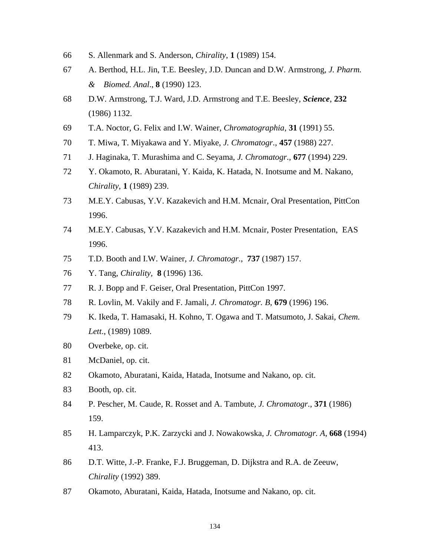- S. Allenmark and S. Anderson, *Chirality*, **1** (1989) 154.
- A. Berthod, H.L. Jin, T.E. Beesley, J.D. Duncan and D.W. Armstrong, *J. Pharm. & Biomed. Anal*., **8** (1990) 123.
- D.W. Armstrong, T.J. Ward, J.D. Armstrong and T.E. Beesley, *Science*, **232** (1986) 1132.
- T.A. Noctor, G. Felix and I.W. Wainer, *Chromatographia*, **31** (1991) 55.
- T. Miwa, T. Miyakawa and Y. Miyake, *J. Chromatogr*., **457** (1988) 227.
- J. Haginaka, T. Murashima and C. Seyama, *J. Chromatogr*., **677** (1994) 229.
- Y. Okamoto, R. Aburatani, Y. Kaida, K. Hatada, N. Inotsume and M. Nakano, *Chirality*, **1** (1989) 239.
- M.E.Y. Cabusas, Y.V. Kazakevich and H.M. Mcnair, Oral Presentation, PittCon 1996.
- M.E.Y. Cabusas, Y.V. Kazakevich and H.M. Mcnair, Poster Presentation, EAS 1996.
- T.D. Booth and I.W. Wainer, *J. Chromatogr*., **737** (1987) 157.
- Y. Tang, *Chirality,* **8** (1996) 136.
- R. J. Bopp and F. Geiser, Oral Presentation, PittCon 1997.
- R. Lovlin, M. Vakily and F. Jamali, *J. Chromatogr. B*, **679** (1996) 196.
- K. Ikeda, T. Hamasaki, H. Kohno, T. Ogawa and T. Matsumoto, J. Sakai*, Chem. Lett*., (1989) 1089.
- Overbeke, op. cit.
- McDaniel, op. cit.
- Okamoto, Aburatani, Kaida, Hatada, Inotsume and Nakano, op. cit.
- Booth, op. cit.
- P. Pescher, M. Caude, R. Rosset and A. Tambute, *J. Chromatogr*., **371** (1986) 159.
- H. Lamparczyk, P.K. Zarzycki and J. Nowakowska, *J. Chromatogr. A*, **668** (1994) 413.
- D.T. Witte, J.-P. Franke, F.J. Bruggeman, D. Dijkstra and R.A. de Zeeuw, *Chirality* (1992) 389.
- Okamoto, Aburatani, Kaida, Hatada, Inotsume and Nakano, op. cit.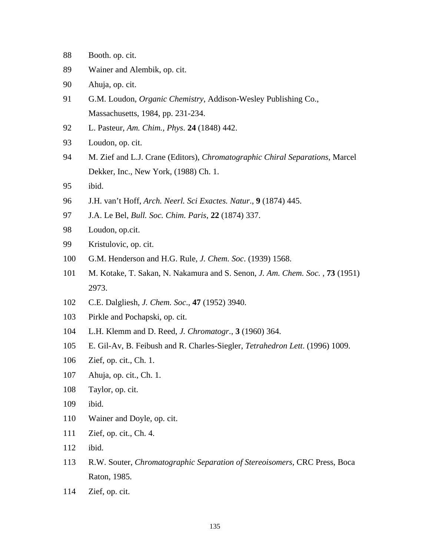- Booth. op. cit.
- Wainer and Alembik, op. cit.
- Ahuja, op. cit.
- G.M. Loudon, *Organic Chemistry*, Addison-Wesley Publishing Co., Massachusetts, 1984, pp. 231-234.
- L. Pasteur, *Am. Chim., Phys*. **24** (1848) 442.
- Loudon, op. cit.
- M. Zief and L.J. Crane (Editors), *Chromatographic Chiral Separations*, Marcel Dekker, Inc., New York, (1988) Ch. 1.
- ibid.
- J.H. van't Hoff, *Arch. Neerl. Sci Exactes. Natur*., **9** (1874) 445.
- J.A. Le Bel, *Bull. Soc. Chim. Paris*, **22** (1874) 337.
- Loudon, op.cit.
- Kristulovic, op. cit.
- G.M. Henderson and H.G. Rule, *J. Chem. Soc*. (1939) 1568.
- M. Kotake, T. Sakan, N. Nakamura and S. Senon, *J. Am. Chem. Soc.* , **73** (1951) 2973.
- C.E. Dalgliesh, *J. Chem. Soc*., **47** (1952) 3940.
- Pirkle and Pochapski, op. cit.
- L.H. Klemm and D. Reed, *J. Chromatogr*., **3** (1960) 364.
- E. Gil-Av, B. Feibush and R. Charles-Siegler, *Tetrahedron Lett*. (1996) 1009.
- Zief, op. cit., Ch. 1.
- Ahuja, op. cit., Ch. 1.
- Taylor, op. cit.
- ibid.
- Wainer and Doyle, op. cit.
- Zief, op. cit., Ch. 4.
- ibid.
- R.W. Souter, *Chromatographic Separation of Stereoisomers*, CRC Press, Boca Raton, 1985.
- Zief, op. cit.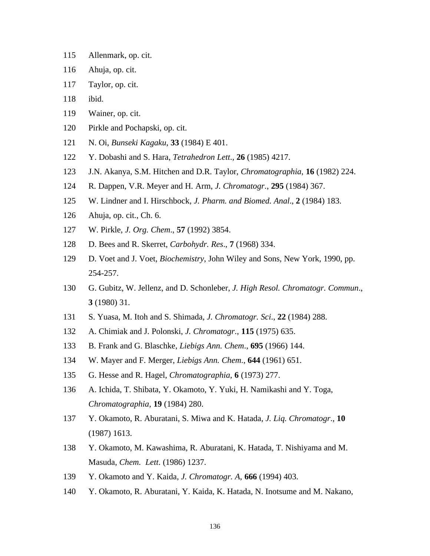- Allenmark, op. cit.
- Ahuja, op. cit.
- Taylor, op. cit.
- ibid.
- Wainer, op. cit.
- Pirkle and Pochapski, op. cit.
- N. Oi, *Bunseki Kagaku*, **33** (1984) E 401.
- Y. Dobashi and S. Hara, *Tetrahedron Lett*., **26** (1985) 4217.
- J.N. Akanya, S.M. Hitchen and D.R. Taylor, *Chromatographia*, **16** (1982) 224.
- R. Dappen, V.R. Meyer and H. Arm, *J. Chromatogr*., **295** (1984) 367.
- W. Lindner and I. Hirschbock, *J. Pharm. and Biomed. Anal*., **2** (1984) 183.
- Ahuja, op. cit., Ch. 6.
- W. Pirkle, *J. Org. Chem*., **57** (1992) 3854.
- D. Bees and R. Skerret, *Carbohydr. Res*., **7** (1968) 334.
- D. Voet and J. Voet, *Biochemistry*, John Wiley and Sons, New York, 1990, pp. 254-257.
- G. Gubitz, W. Jellenz, and D. Schonleber, *J. High Resol. Chromatogr. Commun*., (1980) 31.
- S. Yuasa, M. Itoh and S. Shimada, *J. Chromatogr. Sci*., **22** (1984) 288.
- A. Chimiak and J. Polonski, *J. Chromatogr*., **115** (1975) 635.
- B. Frank and G. Blaschke, *Liebigs Ann. Chem*., **695** (1966) 144.
- W. Mayer and F. Merger, *Liebigs Ann. Chem*., **644** (1961) 651.
- G. Hesse and R. Hagel, *Chromatographia*, **6** (1973) 277.
- A. Ichida, T. Shibata, Y. Okamoto, Y. Yuki, H. Namikashi and Y. Toga, *Chromatographia*, **19** (1984) 280.
- Y. Okamoto, R. Aburatani, S. Miwa and K. Hatada, *J. Liq. Chromatogr*., **10** (1987) 1613.
- Y. Okamoto, M. Kawashima, R. Aburatani, K. Hatada, T. Nishiyama and M. Masuda, *Chem. Lett*. (1986) 1237.
- Y. Okamoto and Y. Kaida, *J. Chromatogr. A*, **666** (1994) 403.
- Y. Okamoto, R. Aburatani, Y. Kaida, K. Hatada, N. Inotsume and M. Nakano,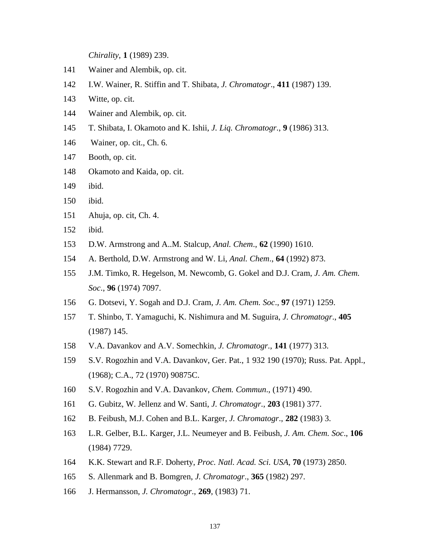*Chirality*, **1** (1989) 239.

- Wainer and Alembik, op. cit.
- I.W. Wainer, R. Stiffin and T. Shibata, *J. Chromatogr*., **411** (1987) 139.
- Witte, op. cit.
- Wainer and Alembik, op. cit.
- T. Shibata, I. Okamoto and K. Ishii, *J. Liq. Chromatogr*., **9** (1986) 313.
- 146 Wainer, op. cit., Ch. 6.
- Booth, op. cit.
- Okamoto and Kaida, op. cit.
- ibid.
- ibid.
- Ahuja, op. cit, Ch. 4.
- ibid.
- D.W. Armstrong and A..M. Stalcup, *Anal. Chem*., **62** (1990) 1610.
- A. Berthold, D.W. Armstrong and W. Li, *Anal. Chem*., **64** (1992) 873.
- J.M. Timko, R. Hegelson, M. Newcomb, G. Gokel and D.J. Cram, *J. Am. Chem. Soc*., **96** (1974) 7097.
- G. Dotsevi, Y. Sogah and D.J. Cram, *J. Am. Chem. Soc*., **97** (1971) 1259.
- T. Shinbo, T. Yamaguchi, K. Nishimura and M. Suguira, *J. Chromatogr*., **405** (1987) 145.
- V.A. Davankov and A.V. Somechkin, *J. Chromatogr*., **141** (1977) 313.
- S.V. Rogozhin and V.A. Davankov, Ger. Pat., 1 932 190 (1970); Russ. Pat. Appl., (1968); C.A., 72 (1970) 90875C.
- S.V. Rogozhin and V.A. Davankov, *Chem. Commun*., (1971) 490.
- G. Gubitz, W. Jellenz and W. Santi, *J. Chromatogr*., **203** (1981) 377.
- B. Feibush, M.J. Cohen and B.L. Karger, *J. Chromatogr*., **282** (1983) 3.
- L.R. Gelber, B.L. Karger, J.L. Neumeyer and B. Feibush, *J. Am. Chem. Soc*., **106** (1984) 7729.
- K.K. Stewart and R.F. Doherty, *Proc. Natl. Acad. Sci. USA*, **70** (1973) 2850.
- S. Allenmark and B. Bomgren, *J. Chromatogr*., **365** (1982) 297.
- J. Hermansson, *J. Chromatogr*., **269**, (1983) 71.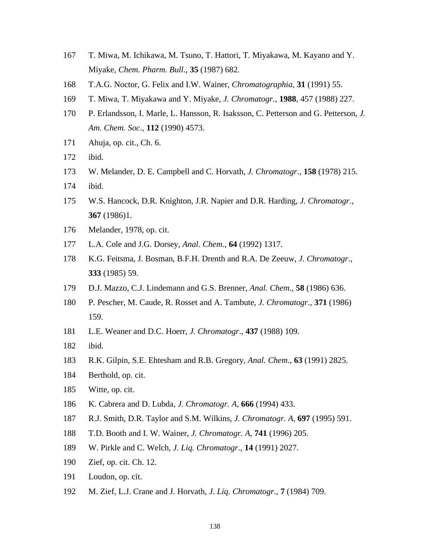- T. Miwa, M. Ichikawa, M. Tsuno, T. Hattori, T. Miyakawa, M. Kayano and Y. Miyake, *Chem. Pharm. Bull*., **35** (1987) 682.
- T.A.G. Noctor, G. Felix and I.W. Wainer, *Chromatographia*, **31** (1991) 55.
- T. Miwa, T. Miyakawa and Y. Miyake, *J. Chromatogr*., **1988**, 457 (1988) 227.
- P. Erlandsson, I. Marle, L. Hansson, R. Isaksson, C. Petterson and G. Petterson, *J. Am. Chem. Soc*., **112** (1990) 4573.
- Ahuja, op. cit., Ch. 6.
- ibid.
- W. Melander, D. E. Campbell and C. Horvath, *J. Chromatogr*., **158** (1978) 215.
- ibid.
- W.S. Hancock, D.R. Knighton, J.R. Napier and D.R. Harding, *J. Chromatogr*., (1986)1.
- Melander, 1978, op. cit.
- L.A. Cole and J.G. Dorsey, *Anal. Chem*., **64** (1992) 1317.
- K.G. Feitsma, J. Bosman, B.F.H. Drenth and R.A. De Zeeuw, *J. Chromatogr*., (1985) 59.
- D.J. Mazzo, C.J. Lindemann and G.S. Brenner, *Anal. Chem*., **58** (1986) 636.
- P. Pescher, M. Caude, R. Rosset and A. Tambute, *J. Chromatogr*., **371** (1986) 159.
- L.E. Weaner and D.C. Hoerr, *J. Chromatogr*., **437** (1988) 109.
- ibid.
- R.K. Gilpin, S.E. Ehtesham and R.B. Gregory, *Anal. Chem*., **63** (1991) 2825.
- Berthold, op. cit.
- Witte, op. cit.
- K. Cabrera and D. Lubda, *J. Chromatogr. A*, **666** (1994) 433.
- R.J. Smith, D.R. Taylor and S.M. Wilkins, *J. Chromatogr. A*, **697** (1995) 591.
- T.D. Booth and I. W. Wainer, *J. Chromatogr. A*, **741** (1996) 205.
- W. Pirkle and C. Welch, *J. Liq. Chromatogr*., **14** (1991) 2027.
- Zief, op. cit. Ch. 12.
- Loudon, op. cit.
- M. Zief, L.J. Crane and J. Horvath, *J. Liq. Chromatogr*., **7** (1984) 709.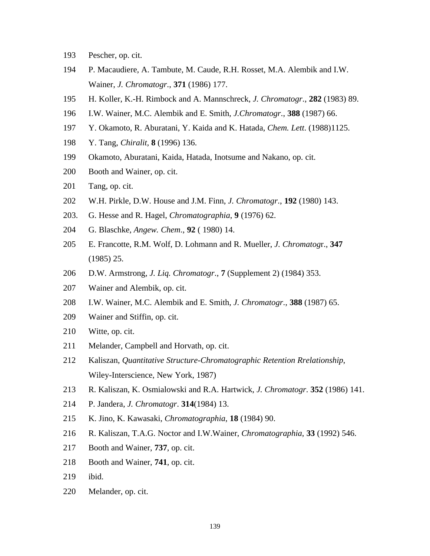- Pescher, op. cit.
- P. Macaudiere, A. Tambute, M. Caude, R.H. Rosset, M.A. Alembik and I.W. Wainer, *J. Chromatogr*., **371** (1986) 177.
- H. Koller, K.-H. Rimbock and A. Mannschreck, *J. Chromatogr*., **282** (1983) 89.
- I.W. Wainer, M.C. Alembik and E. Smith, *J.Chromatogr*., **388** (1987) 66.
- Y. Okamoto, R. Aburatani, Y. Kaida and K. Hatada, *Chem. Lett*. (1988)1125.
- Y. Tang, *Chiralit,* **8** (1996) 136.
- Okamoto, Aburatani, Kaida, Hatada, Inotsume and Nakano, op. cit.
- Booth and Wainer, op. cit.
- Tang, op. cit.
- W.H. Pirkle, D.W. House and J.M. Finn, *J. Chromatogr*., **192** (1980) 143.
- 203. G. Hesse and R. Hagel, *Chromatographia*, **9** (1976) 62.
- G. Blaschke, *Angew. Chem*., **92** ( 1980) 14.
- E. Francotte, R.M. Wolf, D. Lohmann and R. Mueller, *J. Chromatog*r., **347** (1985) 25.
- D.W. Armstrong, *J. Liq. Chromatogr*., **7** (Supplement 2) (1984) 353.
- Wainer and Alembik, op. cit.
- I.W. Wainer, M.C. Alembik and E. Smith, *J. Chromatogr*., **388** (1987) 65.
- Wainer and Stiffin, op. cit.
- Witte, op. cit.
- Melander, Campbell and Horvath, op. cit.
- Kaliszan, *Quantitative Structure-Chromatographic Retention Rrelationship*, Wiley-Interscience, New York, 1987)
- R. Kaliszan, K. Osmialowski and R.A. Hartwick, *J. Chromatogr*. **352** (1986) 141.
- P. Jandera, *J. Chromatogr*. **314**(1984) 13.
- K. Jino, K. Kawasaki, *Chromatographia*, **18** (1984) 90.
- R. Kaliszan, T.A.G. Noctor and I.W.Wainer, *Chromatographia*, **33** (1992) 546.
- Booth and Wainer, **737**, op. cit.
- Booth and Wainer, **741**, op. cit.
- ibid.
- Melander, op. cit.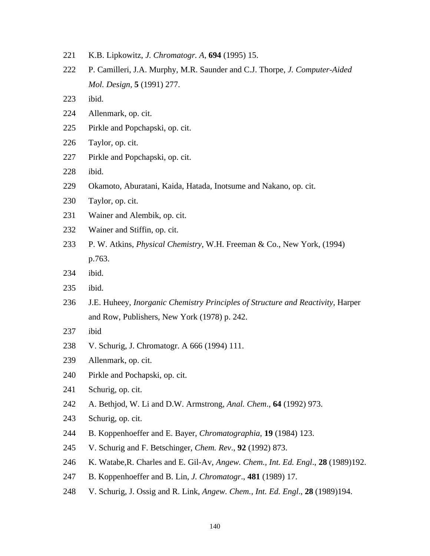- K.B. Lipkowitz, *J. Chromatogr. A*, **694** (1995) 15.
- P. Camilleri, J.A. Murphy, M.R. Saunder and C.J. Thorpe, *J. Computer-Aided Mol. Design*, **5** (1991) 277.
- ibid.
- Allenmark, op. cit.
- Pirkle and Popchapski, op. cit.
- Taylor, op. cit.
- Pirkle and Popchapski, op. cit.
- ibid.
- Okamoto, Aburatani, Kaida, Hatada, Inotsume and Nakano, op. cit.
- Taylor, op. cit.
- Wainer and Alembik, op. cit.
- Wainer and Stiffin, op. cit.
- P. W. Atkins, *Physical Chemistry*, W.H. Freeman & Co., New York, (1994) p.763.
- ibid.
- ibid.
- J.E. Huheey, *Inorganic Chemistry Principles of Structure and Reactivity*, Harper and Row, Publishers, New York (1978) p. 242.
- ibid
- V. Schurig, J. Chromatogr. A 666 (1994) 111.
- Allenmark, op. cit.
- Pirkle and Pochapski, op. cit.
- Schurig, op. cit.
- A. Bethjod, W. Li and D.W. Armstrong, *Anal. Chem*., **64** (1992) 973.
- Schurig, op. cit.
- B. Koppenhoeffer and E. Bayer, *Chromatographia*, **19** (1984) 123.
- V. Schurig and F. Betschinger, *Chem. Rev*., **92** (1992) 873.
- K. Watabe,R. Charles and E. Gil-Av, *Angew. Chem., Int. Ed. Engl*., **28** (1989)192.
- B. Koppenhoeffer and B. Lin, *J. Chromatogr*., **481** (1989) 17.
- V. Schurig, J. Ossig and R. Link, *Angew. Chem., Int. Ed. Engl*., **28** (1989)194.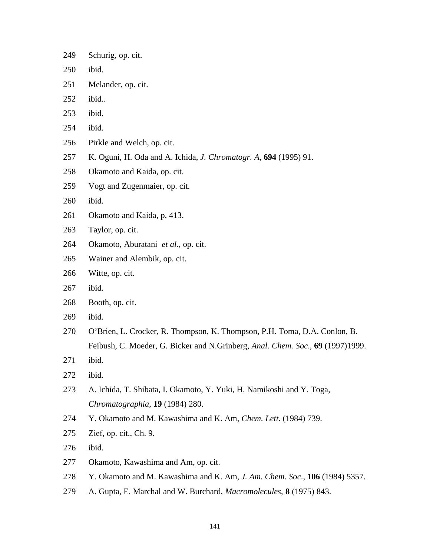- Schurig, op. cit.
- ibid.
- Melander, op. cit.
- ibid..
- ibid.
- ibid.
- Pirkle and Welch, op. cit.
- K. Oguni, H. Oda and A. Ichida, *J. Chromatogr. A*, **694** (1995) 91.
- Okamoto and Kaida, op. cit.
- Vogt and Zugenmaier, op. cit.
- ibid.
- Okamoto and Kaida, p. 413.
- Taylor, op. cit.
- Okamoto, Aburatani *et al*., op. cit.
- Wainer and Alembik, op. cit.
- Witte, op. cit.
- ibid.
- Booth, op. cit.
- ibid.
- O'Brien, L. Crocker, R. Thompson, K. Thompson, P.H. Toma, D.A. Conlon, B. Feibush, C. Moeder, G. Bicker and N.Grinberg, *Anal. Chem. Soc*., **69** (1997)1999.
- ibid.
- ibid.
- A. Ichida, T. Shibata, I. Okamoto, Y. Yuki, H. Namikoshi and Y. Toga, *Chromatographia*, **19** (1984) 280.
- Y. Okamoto and M. Kawashima and K. Am, *Chem. Lett*. (1984) 739.
- Zief, op. cit., Ch. 9.
- ibid.
- Okamoto, Kawashima and Am, op. cit.
- Y. Okamoto and M. Kawashima and K. Am, *J. Am. Chem. Soc*., **106** (1984) 5357.
- A. Gupta, E. Marchal and W. Burchard, *Macromolecules*, **8** (1975) 843.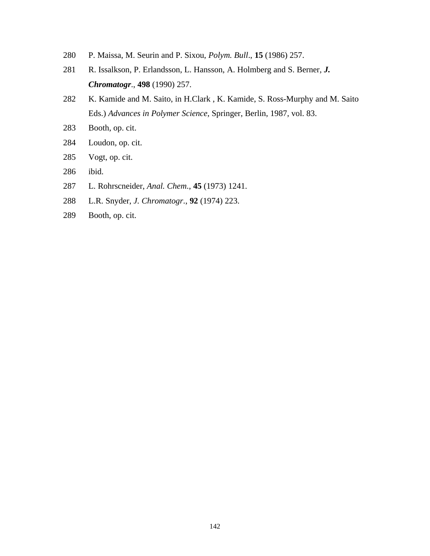- P. Maissa, M. Seurin and P. Sixou, *Polym. Bull*., **15** (1986) 257.
- R. Issalkson, P. Erlandsson, L. Hansson, A. Holmberg and S. Berner*, J. Chromatogr*., **498** (1990) 257.
- 282 K. Kamide and M. Saito, in H.Clark, K. Kamide, S. Ross-Murphy and M. Saito Eds.) *Advances in Polymer Science*, Springer, Berlin, 1987, vol. 83.
- Booth, op. cit.
- Loudon, op. cit.
- Vogt, op. cit.
- ibid.
- L. Rohrscneider, *Anal. Chem*., **45** (1973) 1241.
- L.R. Snyder, *J. Chromatogr*., **92** (1974) 223.
- Booth, op. cit.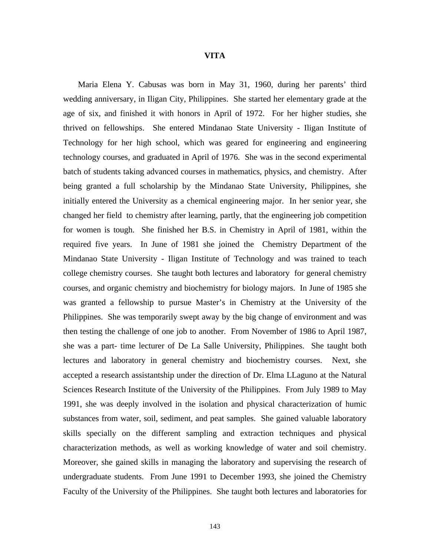## **VITA**

 Maria Elena Y. Cabusas was born in May 31, 1960, during her parents' third wedding anniversary, in Iligan City, Philippines. She started her elementary grade at the age of six, and finished it with honors in April of 1972. For her higher studies, she thrived on fellowships. She entered Mindanao State University - Iligan Institute of Technology for her high school, which was geared for engineering and engineering technology courses, and graduated in April of 1976. She was in the second experimental batch of students taking advanced courses in mathematics, physics, and chemistry. After being granted a full scholarship by the Mindanao State University, Philippines, she initially entered the University as a chemical engineering major. In her senior year, she changed her field to chemistry after learning, partly, that the engineering job competition for women is tough. She finished her B.S. in Chemistry in April of 1981, within the required five years. In June of 1981 she joined the Chemistry Department of the Mindanao State University - Iligan Institute of Technology and was trained to teach college chemistry courses. She taught both lectures and laboratory for general chemistry courses, and organic chemistry and biochemistry for biology majors. In June of 1985 she was granted a fellowship to pursue Master's in Chemistry at the University of the Philippines. She was temporarily swept away by the big change of environment and was then testing the challenge of one job to another. From November of 1986 to April 1987, she was a part- time lecturer of De La Salle University, Philippines. She taught both lectures and laboratory in general chemistry and biochemistry courses. Next, she accepted a research assistantship under the direction of Dr. Elma LLaguno at the Natural Sciences Research Institute of the University of the Philippines. From July 1989 to May 1991, she was deeply involved in the isolation and physical characterization of humic substances from water, soil, sediment, and peat samples. She gained valuable laboratory skills specially on the different sampling and extraction techniques and physical characterization methods, as well as working knowledge of water and soil chemistry. Moreover, she gained skills in managing the laboratory and supervising the research of undergraduate students. From June 1991 to December 1993, she joined the Chemistry Faculty of the University of the Philippines. She taught both lectures and laboratories for